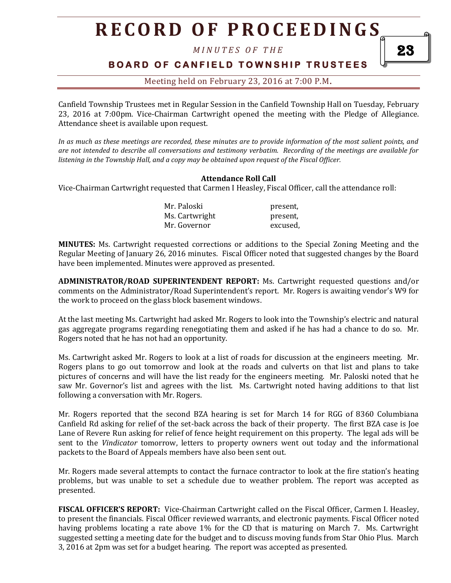# **R E C O R D O F P R O C E E D I N GS**

*M I N U T E S O F T H E* 

## **B O A R D O F C A N F I E L D T O W N S H I P T R U S T E E S**

### Meeting held on February 23, 2016 at 7:00 P.M**.**

Canfield Township Trustees met in Regular Session in the Canfield Township Hall on Tuesday, February 23, 2016 at 7:00pm. Vice-Chairman Cartwright opened the meeting with the Pledge of Allegiance. Attendance sheet is available upon request.

*In as much as these meetings are recorded, these minutes are to provide information of the most salient points, and are not intended to describe all conversations and testimony verbatim. Recording of the meetings are available for listening in the Township Hall, and a copy may be obtained upon request of the Fiscal Officer.* 

#### **Attendance Roll Call**

Vice-Chairman Cartwright requested that Carmen I Heasley, Fiscal Officer, call the attendance roll:

| Mr. Paloski    | present, |
|----------------|----------|
| Ms. Cartwright | present, |
| Mr. Governor   | excused, |

**MINUTES:** Ms. Cartwright requested corrections or additions to the Special Zoning Meeting and the Regular Meeting of January 26, 2016 minutes. Fiscal Officer noted that suggested changes by the Board have been implemented. Minutes were approved as presented.

**ADMINISTRATOR/ROAD SUPERINTENDENT REPORT:** Ms. Cartwright requested questions and/or comments on the Administrator/Road Superintendent's report. Mr. Rogers is awaiting vendor's W9 for the work to proceed on the glass block basement windows.

At the last meeting Ms. Cartwright had asked Mr. Rogers to look into the Township's electric and natural gas aggregate programs regarding renegotiating them and asked if he has had a chance to do so. Mr. Rogers noted that he has not had an opportunity.

Ms. Cartwright asked Mr. Rogers to look at a list of roads for discussion at the engineers meeting. Mr. Rogers plans to go out tomorrow and look at the roads and culverts on that list and plans to take pictures of concerns and will have the list ready for the engineers meeting. Mr. Paloski noted that he saw Mr. Governor's list and agrees with the list. Ms. Cartwright noted having additions to that list following a conversation with Mr. Rogers.

Mr. Rogers reported that the second BZA hearing is set for March 14 for RGG of 8360 Columbiana Canfield Rd asking for relief of the set-back across the back of their property. The first BZA case is Joe Lane of Revere Run asking for relief of fence height requirement on this property. The legal ads will be sent to the *Vindicator* tomorrow, letters to property owners went out today and the informational packets to the Board of Appeals members have also been sent out.

Mr. Rogers made several attempts to contact the furnace contractor to look at the fire station's heating problems, but was unable to set a schedule due to weather problem. The report was accepted as presented.

**FISCAL OFFICER'S REPORT:** Vice-Chairman Cartwright called on the Fiscal Officer, Carmen I. Heasley, to present the financials. Fiscal Officer reviewed warrants, and electronic payments. Fiscal Officer noted having problems locating a rate above 1% for the CD that is maturing on March 7. Ms. Cartwright suggested setting a meeting date for the budget and to discuss moving funds from Star Ohio Plus. March 3, 2016 at 2pm was set for a budget hearing. The report was accepted as presented.

23